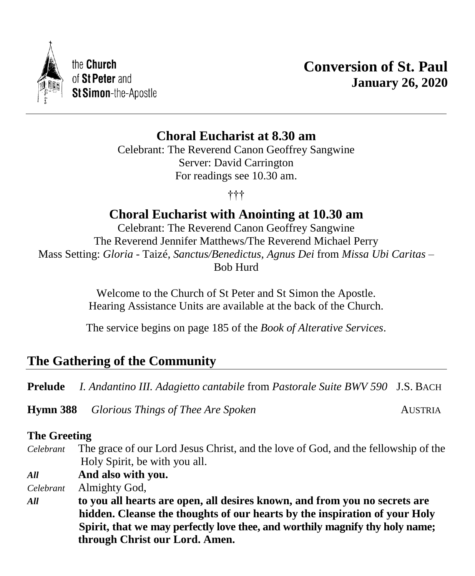

the Church of St Peter and St Simon-the-Apostle

# **Conversion of St. Paul January 26, 2020**

## **Choral Eucharist at 8.30 am**

Celebrant: The Reverend Canon Geoffrey Sangwine Server: David Carrington For readings see 10.30 am.

†††

## **Choral Eucharist with Anointing at 10.30 am**

Celebrant: The Reverend Canon Geoffrey Sangwine The Reverend Jennifer Matthews/The Reverend Michael Perry Mass Setting: *Gloria* - Taizé*, Sanctus/Benedictus, Agnus Dei* from *Missa Ubi Caritas* – Bob Hurd

> Welcome to the Church of St Peter and St Simon the Apostle. Hearing Assistance Units are available at the back of the Church.

> The service begins on page 185 of the *Book of Alterative Services*.

## **The Gathering of the Community**

**Prelude** *I. Andantino III. Adagietto cantabile* from *Pastorale Suite BWV 590* J.S. BACH

**Hymn 388** *Glorious Things of Thee Are Spoken* **AUSTRIA** 

#### **The Greeting**

*Celebrant* The grace of our Lord Jesus Christ, and the love of God, and the fellowship of the Holy Spirit, be with you all.

*All* **And also with you.**

*Celebrant* Almighty God,

*All* **to you all hearts are open, all desires known, and from you no secrets are hidden. Cleanse the thoughts of our hearts by the inspiration of your Holy Spirit, that we may perfectly love thee, and worthily magnify thy holy name; through Christ our Lord. Amen.**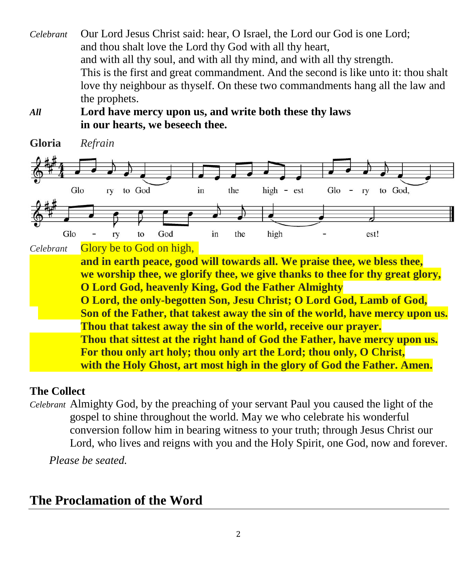*Celebrant* Our Lord Jesus Christ said: hear, O Israel, the Lord our God is one Lord; and thou shalt love the Lord thy God with all thy heart, and with all thy soul, and with all thy mind, and with all thy strength. This is the first and great commandment. And the second is like unto it: thou shalt love thy neighbour as thyself. On these two commandments hang all the law and the prophets.

*All* **Lord have mercy upon us, and write both these thy laws in our hearts, we beseech thee.**

**Gloria** *Refrain*



*Celebrant* Glory be to God on high, **and in earth peace, good will towards all. We praise thee, we bless thee, we worship thee, we glorify thee, we give thanks to thee for thy great glory, O Lord God, heavenly King, God the Father Almighty O Lord, the only-begotten Son, Jesu Christ; O Lord God, Lamb of God, Son of the Father, that takest away the sin of the world, have mercy upon us. Thou that takest away the sin of the world, receive our prayer. Thou that sittest at the right hand of God the Father, have mercy upon us. For thou only art holy; thou only art the Lord; thou only, O Christ, with the Holy Ghost, art most high in the glory of God the Father. Amen.**

### **The Collect**

*Celebrant* Almighty God, by the preaching of your servant Paul you caused the light of the gospel to shine throughout the world. May we who celebrate his wonderful conversion follow him in bearing witness to your truth; through Jesus Christ our Lord, who lives and reigns with you and the Holy Spirit, one God, now and forever.

*Please be seated.*

# **The Proclamation of the Word**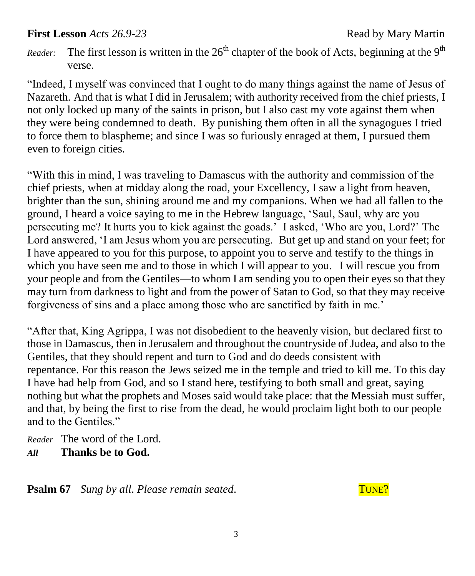#### **First Lesson** *Acts* 26.9-23 **Read by Mary Martin**

*Reader:* The first lesson is written in the  $26<sup>th</sup>$  chapter of the book of Acts, beginning at the 9<sup>th</sup> verse.

"Indeed, I myself was convinced that I ought to do many things against the name of Jesus of Nazareth. And that is what I did in Jerusalem; with authority received from the chief priests, I not only locked up many of the saints in prison, but I also cast my vote against them when they were being condemned to death. By punishing them often in all the synagogues I tried to force them to blaspheme; and since I was so furiously enraged at them, I pursued them even to foreign cities.

"With this in mind, I was traveling to Damascus with the authority and commission of the chief priests, when at midday along the road, your Excellency, I saw a light from heaven, brighter than the sun, shining around me and my companions. When we had all fallen to the ground, I heard a voice saying to me in the Hebrew language, 'Saul, Saul, why are you persecuting me? It hurts you to kick against the goads.' I asked, 'Who are you, Lord?' The Lord answered, 'I am Jesus whom you are persecuting. But get up and stand on your feet; for I have appeared to you for this purpose, to appoint you to serve and testify to the things in which you have seen me and to those in which I will appear to you. I will rescue you from your people and from the Gentiles—to whom I am sending you to open their eyes so that they may turn from darkness to light and from the power of Satan to God, so that they may receive forgiveness of sins and a place among those who are sanctified by faith in me.'

"After that, King Agrippa, I was not disobedient to the heavenly vision, but declared first to those in Damascus, then in Jerusalem and throughout the countryside of Judea, and also to the Gentiles, that they should repent and turn to God and do deeds consistent with repentance. For this reason the Jews seized me in the temple and tried to kill me. To this day I have had help from God, and so I stand here, testifying to both small and great, saying nothing but what the prophets and Moses said would take place: that the Messiah must suffer, and that, by being the first to rise from the dead, he would proclaim light both to our people and to the Gentiles."

*Reader* The word of the Lord. *All* **Thanks be to God.**

**Psalm 67** *Sung by all. Please remain seated.* TUNE?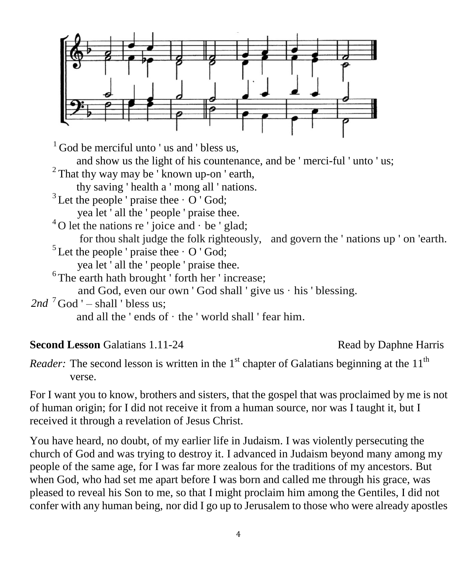

 $1$  God be merciful unto 'us and 'bless us, and show us the light of his countenance, and be ' merci-ful ' unto ' us;  $2^2$  That thy way may be 'known up-on ' earth, thy saving ' health a ' mong all ' nations.  $3$  Let the people ' praise thee  $\cdot$  O ' God; yea let ' all the ' people ' praise thee.  $4^4$ O let the nations re ' joice and  $\cdot$  be ' glad; for thou shalt judge the folk righteously, and govern the ' nations up ' on 'earth.  $<sup>5</sup>$  Let the people ' praise thee  $\cdot$  O ' God;</sup> yea let ' all the ' people ' praise thee. <sup>6</sup>The earth hath brought ' forth her ' increase; and God, even our own 'God shall ' give us  $\cdot$  his ' blessing.  $2nd$ <sup>7</sup>God ' – shall ' bless us; and all the ' ends of  $\cdot$  the ' world shall ' fear him.

**Second Lesson** Galatians 1.11-24 Read by Daphne Harris

*Reader*: The second lesson is written in the  $1<sup>st</sup>$  chapter of Galatians beginning at the  $11<sup>th</sup>$ verse.

For I want you to know, brothers and sisters, that the gospel that was proclaimed by me is not of human origin; for I did not receive it from a human source, nor was I taught it, but I received it through a revelation of Jesus Christ.

You have heard, no doubt, of my earlier life in Judaism. I was violently persecuting the church of God and was trying to destroy it. I advanced in Judaism beyond many among my people of the same age, for I was far more zealous for the traditions of my ancestors. But when God, who had set me apart before I was born and called me through his grace, was pleased to reveal his Son to me, so that I might proclaim him among the Gentiles, I did not confer with any human being, nor did I go up to Jerusalem to those who were already apostles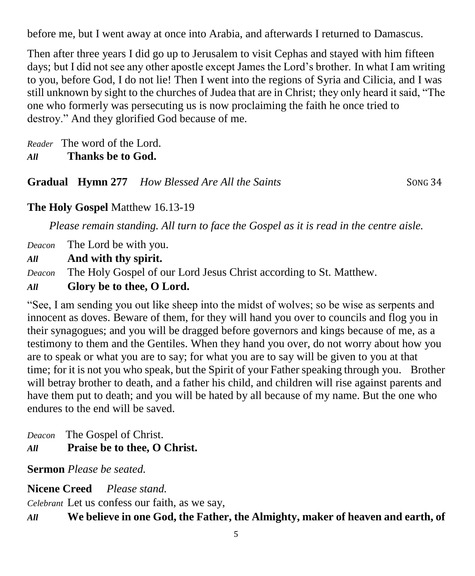before me, but I went away at once into Arabia, and afterwards I returned to Damascus.

Then after three years I did go up to Jerusalem to visit Cephas and stayed with him fifteen days; but I did not see any other apostle except James the Lord's brother. In what I am writing to you, before God, I do not lie! Then I went into the regions of Syria and Cilicia, and I was still unknown by sight to the churches of Judea that are in Christ; they only heard it said, "The one who formerly was persecuting us is now proclaiming the faith he once tried to destroy." And they glorified God because of me.

*Reader* The word of the Lord. *All* **Thanks be to God.**

**Gradual Hymn 277** *How Blessed Are All the Saints* **SONG 34 SONG 34** 

**The Holy Gospel** Matthew 16.13-19

*Please remain standing. All turn to face the Gospel as it is read in the centre aisle.*

*Deacon* The Lord be with you. *All* **And with thy spirit.** *Deacon* The Holy Gospel of our Lord Jesus Christ according to St. Matthew. *All* **Glory be to thee, O Lord.**

"See, I am sending you out like sheep into the midst of wolves; so be wise as serpents and innocent as doves. Beware of them, for they will hand you over to councils and flog you in their synagogues; and you will be dragged before governors and kings because of me, as a testimony to them and the Gentiles. When they hand you over, do not worry about how you are to speak or what you are to say; for what you are to say will be given to you at that time; for it is not you who speak, but the Spirit of your Father speaking through you. Brother will betray brother to death, and a father his child, and children will rise against parents and have them put to death; and you will be hated by all because of my name. But the one who endures to the end will be saved.

*Deacon* The Gospel of Christ.

## *All* **Praise be to thee, O Christ.**

**Sermon** *Please be seated.*

**Nicene Creed** *Please stand.*

*Celebrant* Let us confess our faith, as we say,

*All* **We believe in one God, the Father, the Almighty, maker of heaven and earth, of**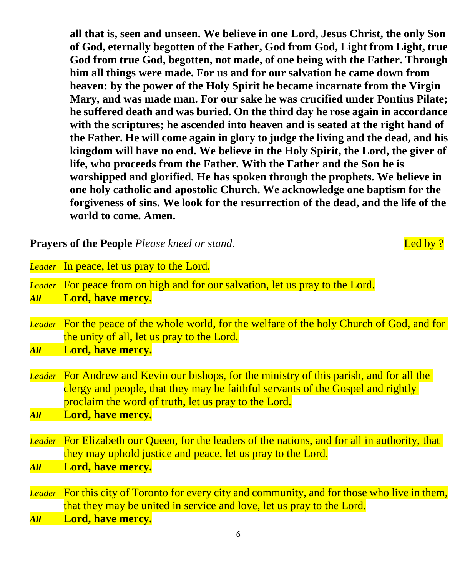**all that is, seen and unseen. We believe in one Lord, Jesus Christ, the only Son of God, eternally begotten of the Father, God from God, Light from Light, true God from true God, begotten, not made, of one being with the Father. Through him all things were made. For us and for our salvation he came down from heaven: by the power of the Holy Spirit he became incarnate from the Virgin Mary, and was made man. For our sake he was crucified under Pontius Pilate; he suffered death and was buried. On the third day he rose again in accordance with the scriptures; he ascended into heaven and is seated at the right hand of the Father. He will come again in glory to judge the living and the dead, and his kingdom will have no end. We believe in the Holy Spirit, the Lord, the giver of life, who proceeds from the Father. With the Father and the Son he is worshipped and glorified. He has spoken through the prophets. We believe in one holy catholic and apostolic Church. We acknowledge one baptism for the forgiveness of sins. We look for the resurrection of the dead, and the life of the world to come. Amen.**

**Prayers of the People** *Please kneel or stand.* Led by ?

|                  | <i>Leader</i> In peace, let us pray to the Lord.                                                                                                                                                                                     |  |  |
|------------------|--------------------------------------------------------------------------------------------------------------------------------------------------------------------------------------------------------------------------------------|--|--|
| $\overline{All}$ | Leader For peace from on high and for our salvation, let us pray to the Lord.<br>Lord, have mercy.                                                                                                                                   |  |  |
|                  | Leader For the peace of the whole world, for the welfare of the holy Church of God, and for<br>the unity of all, let us pray to the Lord.                                                                                            |  |  |
| $\overline{All}$ | Lord, have mercy.                                                                                                                                                                                                                    |  |  |
|                  | Leader For Andrew and Kevin our bishops, for the ministry of this parish, and for all the<br>clergy and people, that they may be faithful servants of the Gospel and rightly<br>proclaim the word of truth, let us pray to the Lord. |  |  |
| $\overline{All}$ | Lord, have mercy.                                                                                                                                                                                                                    |  |  |
|                  | Leader For Elizabeth our Queen, for the leaders of the nations, and for all in authority, that<br>they may uphold justice and peace, let us pray to the Lord.                                                                        |  |  |
| $\overline{All}$ | Lord, have mercy.                                                                                                                                                                                                                    |  |  |
|                  | Leader For this city of Toronto for every city and community, and for those who live in them,<br>that they may be united in service and love, let us pray to the Lord.                                                               |  |  |
| All <b>All</b>   | Lord, have mercy.                                                                                                                                                                                                                    |  |  |
| 6                |                                                                                                                                                                                                                                      |  |  |
|                  |                                                                                                                                                                                                                                      |  |  |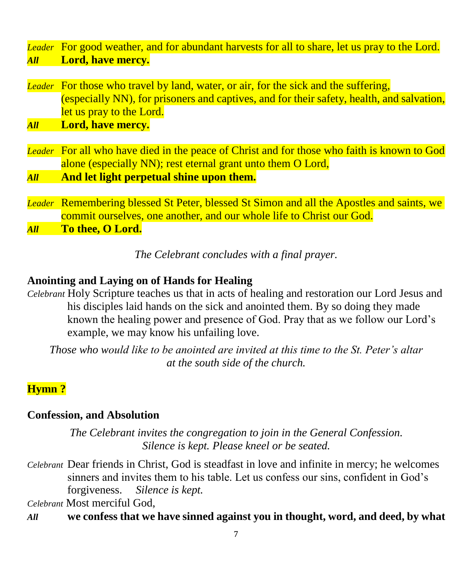*Leader* For good weather, and for abundant harvests for all to share, let us pray to the Lord. *All* **Lord, have mercy.**

*Leader* For those who travel by land, water, or air, for the sick and the suffering, (especially NN), for prisoners and captives, and for their safety, health, and salvation, let us pray to the Lord.

*All* **Lord, have mercy.**

- *Leader* For all who have died in the peace of Christ and for those who faith is known to God alone (especially NN); rest eternal grant unto them O Lord,
- *All* **And let light perpetual shine upon them.**
- *Leader* Remembering blessed St Peter, blessed St Simon and all the Apostles and saints, we commit ourselves, one another, and our whole life to Christ our God.

*All* **To thee, O Lord.**

*The Celebrant concludes with a final prayer.*

#### **Anointing and Laying on of Hands for Healing**

*Celebrant* Holy Scripture teaches us that in acts of healing and restoration our Lord Jesus and his disciples laid hands on the sick and anointed them. By so doing they made known the healing power and presence of God. Pray that as we follow our Lord's example, we may know his unfailing love.

*Those who would like to be anointed are invited at this time to the St. Peter's altar at the south side of the church.*

## **Hymn ?**

#### **Confession, and Absolution**

*The Celebrant invites the congregation to join in the General Confession. Silence is kept. Please kneel or be seated.*

*Celebrant* Dear friends in Christ, God is steadfast in love and infinite in mercy; he welcomes sinners and invites them to his table. Let us confess our sins, confident in God's forgiveness. *Silence is kept.* 

*Celebrant* Most merciful God,

*All* **we confess that we have sinned against you in thought, word, and deed, by what**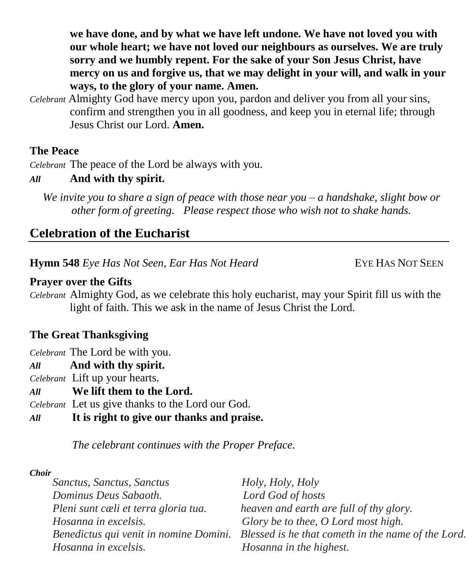**we have done, and by what we have left undone. We have not loved you with our whole heart; we have not loved our neighbours as ourselves. We are truly sorry and we humbly repent. For the sake of your Son Jesus Christ, have mercy on us and forgive us, that we may delight in your will, and walk in your ways, to the glory of your name. Amen.**

*Celebrant* Almighty God have mercy upon you, pardon and deliver you from all your sins, confirm and strengthen you in all goodness, and keep you in eternal life; through Jesus Christ our Lord. **Amen.**

#### **The Peace**

*Celebrant* The peace of the Lord be always with you.

## *All* **And with thy spirit.**

*We invite you to share a sign of peace with those near you – a handshake, slight bow or other form of greeting. Please respect those who wish not to shake hands.*

### **Celebration of the Eucharist**

**Hymn 548** *Eye Has Not Seen, Ear Has Not Heard* EYE HAS NOT SEEN

#### **Prayer over the Gifts**

*Celebrant* Almighty God, as we celebrate this holy eucharist, may your Spirit fill us with the light of faith. This we ask in the name of Jesus Christ the Lord.

## **The Great Thanksgiving**

*Celebrant* The Lord be with you.

- *All* **And with thy spirit.**
- *Celebrant* Lift up your hearts.
- *All* **We lift them to the Lord.**

*Celebrant* Let us give thanks to the Lord our God.

*All* **It is right to give our thanks and praise.**

*The celebrant continues with the Proper Preface.* 

#### *Choir*

| Sanctus, Sanctus, Sanctus            | Holy, Holy, Holy                                                                          |
|--------------------------------------|-------------------------------------------------------------------------------------------|
| Dominus Deus Sabaoth.                | Lord God of hosts                                                                         |
| Pleni sunt cæli et terra gloria tua. | heaven and earth are full of thy glory.                                                   |
| Hosanna in excelsis.                 | Glory be to thee, O Lord most high.                                                       |
|                                      | Benedictus qui venit in nomine Domini. Blessed is he that cometh in the name of the Lord. |
| Hosanna in excelsis.                 | Hosanna in the highest.                                                                   |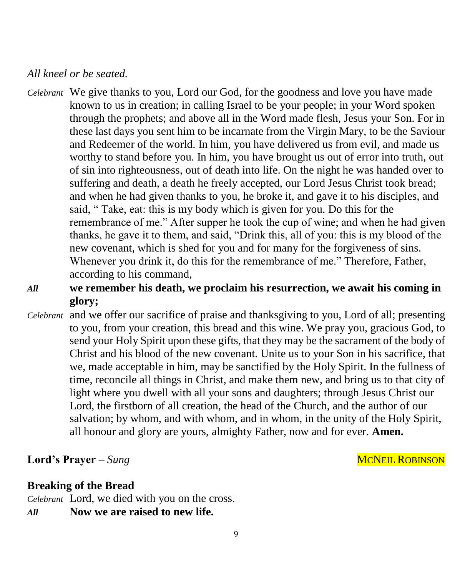### *All kneel or be seated.*

*Celebrant* We give thanks to you, Lord our God, for the goodness and love you have made known to us in creation; in calling Israel to be your people; in your Word spoken through the prophets; and above all in the Word made flesh, Jesus your Son. For in these last days you sent him to be incarnate from the Virgin Mary, to be the Saviour and Redeemer of the world. In him, you have delivered us from evil, and made us worthy to stand before you. In him, you have brought us out of error into truth, out of sin into righteousness, out of death into life. On the night he was handed over to suffering and death, a death he freely accepted, our Lord Jesus Christ took bread; and when he had given thanks to you, he broke it, and gave it to his disciples, and said, " Take, eat: this is my body which is given for you. Do this for the remembrance of me." After supper he took the cup of wine; and when he had given thanks, he gave it to them, and said, "Drink this, all of you: this is my blood of the new covenant, which is shed for you and for many for the forgiveness of sins. Whenever you drink it, do this for the remembrance of me." Therefore, Father, according to his command,

## *All* **we remember his death, we proclaim his resurrection, we await his coming in glory;**

*Celebrant* and we offer our sacrifice of praise and thanksgiving to you, Lord of all; presenting to you, from your creation, this bread and this wine. We pray you, gracious God, to send your Holy Spirit upon these gifts, that they may be the sacrament of the body of Christ and his blood of the new covenant. Unite us to your Son in his sacrifice, that we, made acceptable in him, may be sanctified by the Holy Spirit. In the fullness of time, reconcile all things in Christ, and make them new, and bring us to that city of light where you dwell with all your sons and daughters; through Jesus Christ our Lord, the firstborn of all creation, the head of the Church, and the author of our salvation; by whom, and with whom, and in whom, in the unity of the Holy Spirit, all honour and glory are yours, almighty Father, now and for ever. **Amen.**

## **Lord's Prayer** – *Sung* **MCNEIL ROBINSON**

#### **Breaking of the Bread**

*Celebrant* Lord, we died with you on the cross. *All* **Now we are raised to new life.**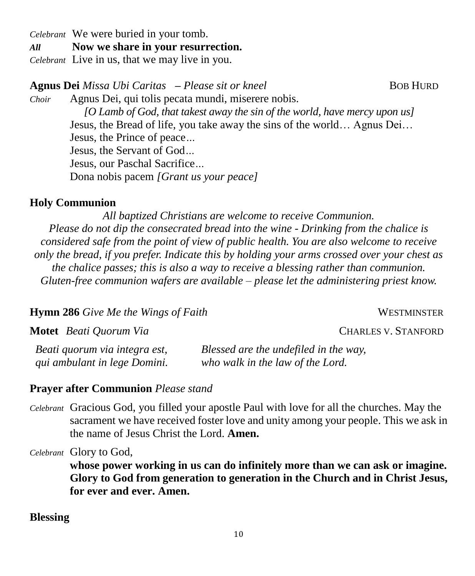*Celebrant* We were buried in your tomb.

*All* **Now we share in your resurrection.** 

*Celebrant* Live in us, that we may live in you.

**Agnus Dei** *Missa Ubi Caritas – Please sit or kneel* BOB HURD *Choir* Agnus Dei, qui tolis pecata mundi, miserere nobis. *[O Lamb of God, that takest away the sin of the world, have mercy upon us]* Jesus, the Bread of life, you take away the sins of the world… Agnus Dei… Jesus, the Prince of peace*…* Jesus, the Servant of God*…* Jesus, our Paschal Sacrifice*…* Dona nobis pacem *[Grant us your peace]*

## **Holy Communion**

*All baptized Christians are welcome to receive Communion. Please do not dip the consecrated bread into the wine - Drinking from the chalice is considered safe from the point of view of public health. You are also welcome to receive only the bread, if you prefer. Indicate this by holding your arms crossed over your chest as the chalice passes; this is also a way to receive a blessing rather than communion. Gluten-free communion wafers are available – please let the administering priest know.*

**Hymn 286** *Give Me the Wings of Faith* WESTMINSTER

**Motet** *Beati Quorum Via* CHARLES V. STANFORD

| Beati quorum via integra est, | Blessed are the undefiled in the way, |
|-------------------------------|---------------------------------------|
| qui ambulant in lege Domini.  | who walk in the law of the Lord.      |

## **Prayer after Communion** *Please stand*

*Celebrant* Gracious God, you filled your apostle Paul with love for all the churches. May the sacrament we have received foster love and unity among your people. This we ask in the name of Jesus Christ the Lord. **Amen.**

*Celebrant* Glory to God,

**whose power working in us can do infinitely more than we can ask or imagine. Glory to God from generation to generation in the Church and in Christ Jesus, for ever and ever. Amen.**

## **Blessing**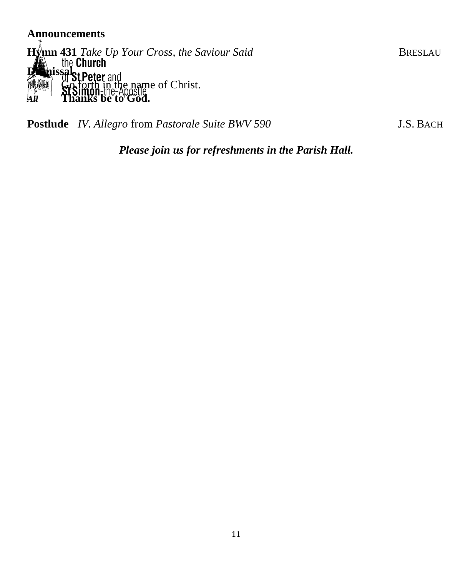## **Announcements**



**Postlude** *IV. Allegro* from *Pastorale Suite BWV 590* J.S. BACH

*Please join us for refreshments in the Parish Hall.*